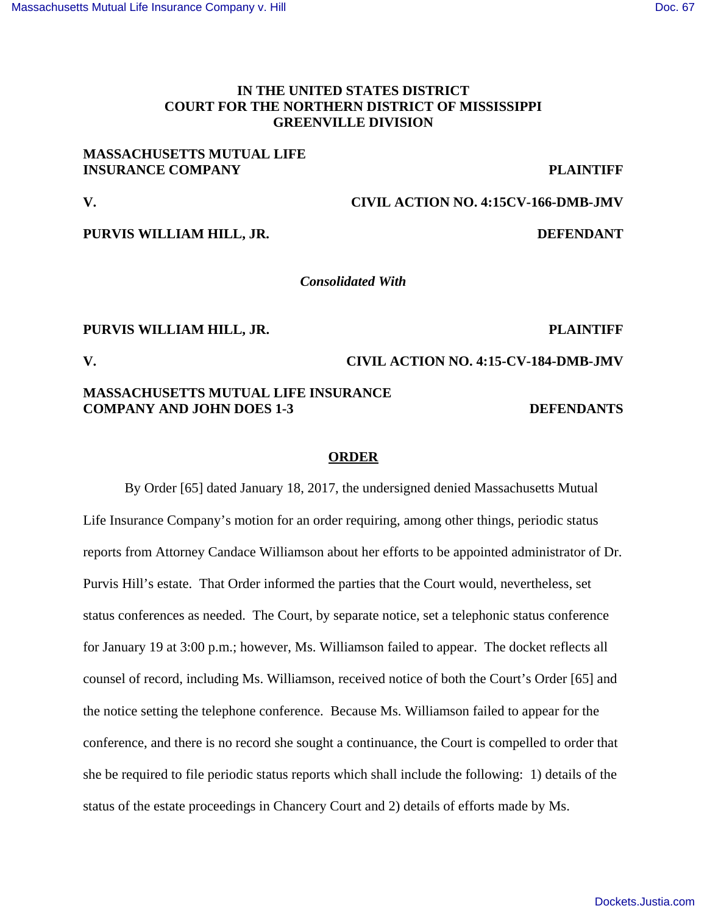## **IN THE UNITED STATES DISTRICT COURT FOR THE NORTHERN DISTRICT OF MISSISSIPPI GREENVILLE DIVISION**

### **MASSACHUSETTS MUTUAL LIFE INSURANCE COMPANY PLAINTIFF**

**V. CIVIL ACTION NO. 4:15CV-166-DMB-JMV**

**PURVIS WILLIAM HILL, JR.** DEFENDANT

*Consolidated With*

## **PURVIS WILLIAM HILL, JR. PLAINTIFF**

## **V. CIVIL ACTION NO. 4:15-CV-184-DMB-JMV**

## **MASSACHUSETTS MUTUAL LIFE INSURANCE COMPANY AND JOHN DOES 1-3 DEFENDANTS**

## **ORDER**

By Order [65] dated January 18, 2017, the undersigned denied Massachusetts Mutual Life Insurance Company's motion for an order requiring, among other things, periodic status reports from Attorney Candace Williamson about her efforts to be appointed administrator of Dr. Purvis Hill's estate. That Order informed the parties that the Court would, nevertheless, set status conferences as needed. The Court, by separate notice, set a telephonic status conference for January 19 at 3:00 p.m.; however, Ms. Williamson failed to appear. The docket reflects all counsel of record, including Ms. Williamson, received notice of both the Court's Order [65] and the notice setting the telephone conference. Because Ms. Williamson failed to appear for the conference, and there is no record she sought a continuance, the Court is compelled to order that she be required to file periodic status reports which shall include the following: 1) details of the status of the estate proceedings in Chancery Court and 2) details of efforts made by Ms.